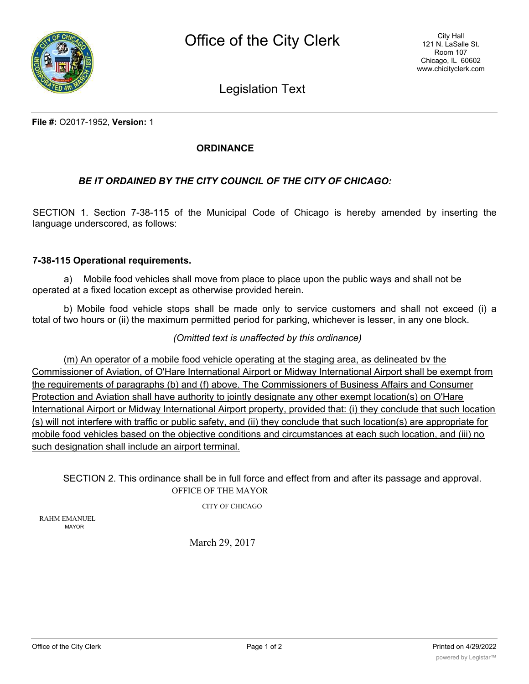

Legislation Text

**File #:** O2017-1952, **Version:** 1

## **ORDINANCE**

## *BE IT ORDAINED BY THE CITY COUNCIL OF THE CITY OF CHICAGO:*

SECTION 1. Section 7-38-115 of the Municipal Code of Chicago is hereby amended by inserting the language underscored, as follows:

## **7-38-115 Operational requirements.**

a) Mobile food vehicles shall move from place to place upon the public ways and shall not be operated at a fixed location except as otherwise provided herein.

b) Mobile food vehicle stops shall be made only to service customers and shall not exceed (i) a total of two hours or (ii) the maximum permitted period for parking, whichever is lesser, in any one block.

*(Omitted text is unaffected by this ordinance)*

(m) An operator of a mobile food vehicle operating at the staging area, as delineated bv the Commissioner of Aviation, of O'Hare International Airport or Midway International Airport shall be exempt from the reguirements of paragraphs (b) and (f) above. The Commissioners of Business Affairs and Consumer Protection and Aviation shall have authority to jointly designate any other exempt location(s) on O'Hare International Airport or Midway International Airport property, provided that: (i) they conclude that such location (s) will not interfere with traffic or public safety, and (ii) they conclude that such location(s) are appropriate for mobile food vehicles based on the objective conditions and circumstances at each such location, and (iii) no such designation shall include an airport terminal.

SECTION 2. This ordinance shall be in full force and effect from and after its passage and approval. OFFICE OF THE MAYOR

CITY OF CHICAGO

RAHM EMANUEL MAYOR

March 29, 2017